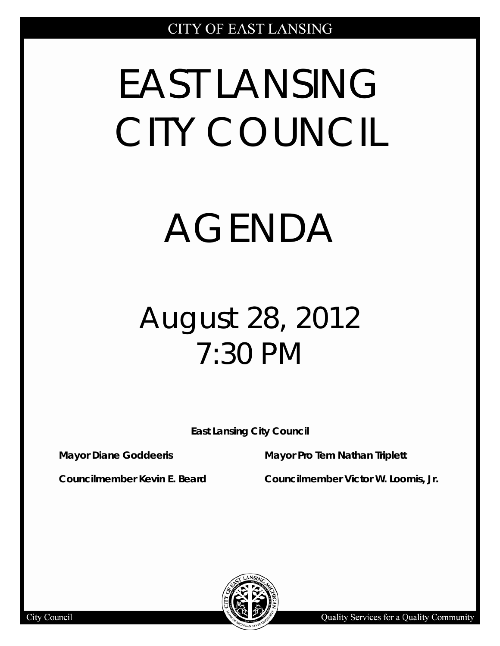# EAST LANSING CITY COUNCIL

## AGENDA

### August 28, 2012 7:30 PM

**East Lansing City Council**

**Mayor Diane Goddeeris Mayor Pro Tem Nathan Triplett**

**Councilmember Kevin E. Beard Councilmember Victor W. Loomis, Jr.**

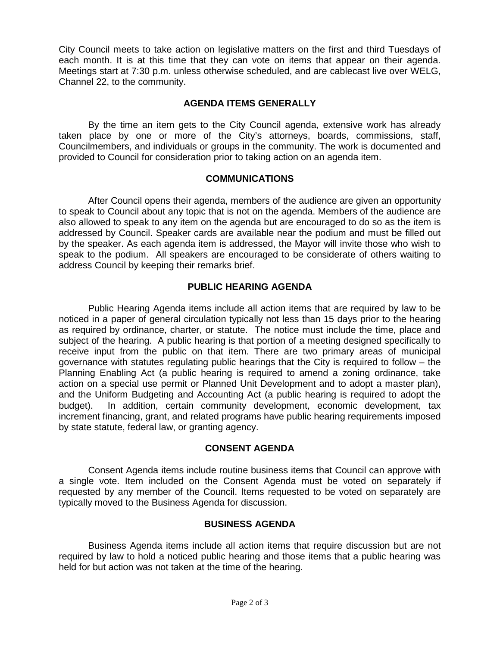City Council meets to take action on legislative matters on the first and third Tuesdays of each month. It is at this time that they can vote on items that appear on their agenda. Meetings start at 7:30 p.m. unless otherwise scheduled, and are cablecast live over WELG, Channel 22, to the community.

#### **AGENDA ITEMS GENERALLY**

By the time an item gets to the City Council agenda, extensive work has already taken place by one or more of the City's attorneys, boards, commissions, staff, Councilmembers, and individuals or groups in the community. The work is documented and provided to Council for consideration prior to taking action on an agenda item.

#### **COMMUNICATIONS**

After Council opens their agenda, members of the audience are given an opportunity to speak to Council about any topic that is not on the agenda. Members of the audience are also allowed to speak to any item on the agenda but are encouraged to do so as the item is addressed by Council. Speaker cards are available near the podium and must be filled out by the speaker. As each agenda item is addressed, the Mayor will invite those who wish to speak to the podium. All speakers are encouraged to be considerate of others waiting to address Council by keeping their remarks brief.

#### **PUBLIC HEARING AGENDA**

Public Hearing Agenda items include all action items that are required by law to be noticed in a paper of general circulation typically not less than 15 days prior to the hearing as required by ordinance, charter, or statute. The notice must include the time, place and subject of the hearing. A public hearing is that portion of a meeting designed specifically to receive input from the public on that item. There are two primary areas of municipal governance with statutes regulating public hearings that the City is required to follow – the Planning Enabling Act (a public hearing is required to amend a zoning ordinance, take action on a special use permit or Planned Unit Development and to adopt a master plan), and the Uniform Budgeting and Accounting Act (a public hearing is required to adopt the budget). In addition, certain community development, economic development, tax increment financing, grant, and related programs have public hearing requirements imposed by state statute, federal law, or granting agency.

#### **CONSENT AGENDA**

Consent Agenda items include routine business items that Council can approve with a single vote. Item included on the Consent Agenda must be voted on separately if requested by any member of the Council. Items requested to be voted on separately are typically moved to the Business Agenda for discussion.

#### **BUSINESS AGENDA**

Business Agenda items include all action items that require discussion but are not required by law to hold a noticed public hearing and those items that a public hearing was held for but action was not taken at the time of the hearing.